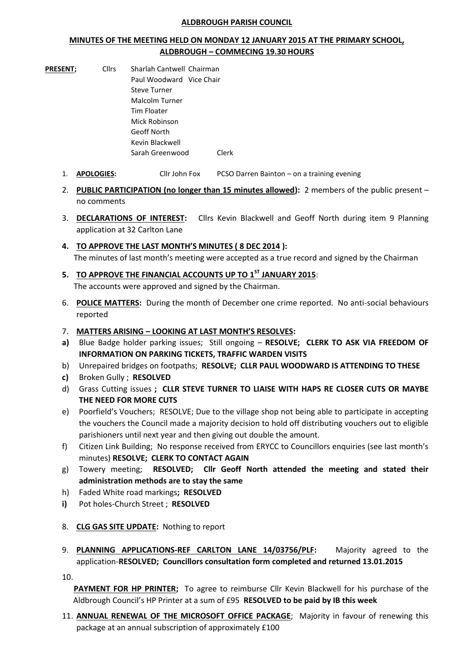## **ALDBROUGH PARISH COUNCIL**

## **MINUTES OF THE MEETING HELD ON MONDAY 12 JANUARY 2015 AT THE PRIMARY SCHOOL, ALDBROUGH – COMMECING 19.30 HOURS**

- **PRESENT:** Cllrs Sharlah Cantwell Chairman Paul Woodward Vice Chair Steve Turner Malcolm Turner Tim Floater Mick Robinson Geoff North Kevin Blackwell Sarah Greenwood Clerk
	- 1. **APOLOGIES:** Cllr John Fox PCSO Darren Bainton on a training evening
	- 2. **PUBLIC PARTICIPATION (no longer than 15 minutes allowed):** 2 members of the public present no comments
	- 3. **DECLARATIONS OF INTEREST:** Cllrs Kevin Blackwell and Geoff North during item 9 Planning application at 32 Carlton Lane
	- **4. TO APPROVE THE LAST MONTH'S MINUTES ( 8 DEC 2014 ):** The minutes of last month's meeting were accepted as a true record and signed by the Chairman
	- **5. TO APPROVE THE FINANCIAL ACCOUNTS UP TO 1 ST JANUARY 2015**: The accounts were approved and signed by the Chairman.
	- 6. **POLICE MATTERS:** During the month of December one crime reported. No anti-social behaviours reported
	- 7. **MATTERS ARISING – LOOKING AT LAST MONTH'S RESOLVES:**
	- **a)** Blue Badge holder parking issues; Still ongoing **RESOLVE; CLERK TO ASK VIA FREEDOM OF INFORMATION ON PARKING TICKETS, TRAFFIC WARDEN VISITS**
	- b) Unrepaired bridges on footpaths; **RESOLVE; CLLR PAUL WOODWARD IS ATTENDING TO THESE**
	- **c)** Broken Gully ; **RESOLVED**
	- d) Grass Cutting issues **; CLLR STEVE TURNER TO LIAISE WITH HAPS RE CLOSER CUTS OR MAYBE THE NEED FOR MORE CUTS**
	- e) Poorfield's Vouchers; RESOLVE; Due to the village shop not being able to participate in accepting the vouchers the Council made a majority decision to hold off distributing vouchers out to eligible parishioners until next year and then giving out double the amount.
	- f) Citizen Link Building; No response received from ERYCC to Councillors enquiries (see last month's minutes) **RESOLVE; CLERK TO CONTACT AGAIN**
	- g) Towery meeting; **RESOLVED; Cllr Geoff North attended the meeting and stated their administration methods are to stay the same**
	- h) Faded White road markings**; RESOLVED**
	- **i)** Pot holes-Church Street ; **RESOLVED**
	- 8. **CLG GAS SITE UPDATE:** Nothing to report
	- 9. **PLANNING APPLICATIONS-REF CARLTON LANE 14/03756/PLF:** Majority agreed to the application-**RESOLVED; Councillors consultation form completed and returned 13.01.2015**

10.

**PAYMENT FOR HP PRINTER;** To agree to reimburse Cllr Kevin Blackwell for his purchase of the Aldbrough Council's HP Printer at a sum of £95 **RESOLVED to be paid by IB this week**

11. **ANNUAL RENEWAL OF THE MICROSOFT OFFICE PACKAGE**; Majority in favour of renewing this package at an annual subscription of approximately £100